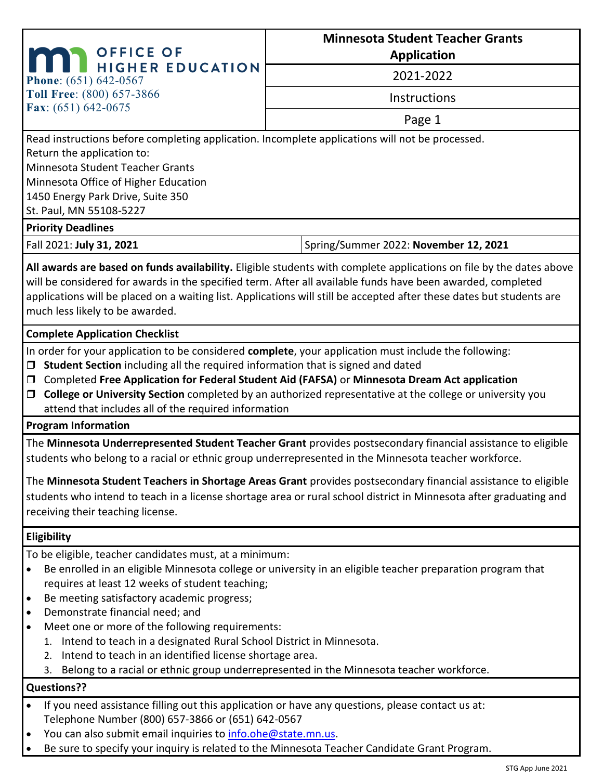| <b>OFFICE OF</b><br>HIGHER EDUCATION<br>Phone: (651) 642-0567                                                                                                                                                        | <b>Minnesota Student Teacher Grants</b>                                                    |  |
|----------------------------------------------------------------------------------------------------------------------------------------------------------------------------------------------------------------------|--------------------------------------------------------------------------------------------|--|
|                                                                                                                                                                                                                      | <b>Application</b>                                                                         |  |
|                                                                                                                                                                                                                      | 2021-2022                                                                                  |  |
| Toll Free: (800) 657-3866                                                                                                                                                                                            | Instructions                                                                               |  |
| Fax: $(651) 642 - 0675$                                                                                                                                                                                              | Page 1                                                                                     |  |
| Read instructions before completing application. Incomplete applications will not be processed.                                                                                                                      |                                                                                            |  |
| Return the application to:                                                                                                                                                                                           |                                                                                            |  |
| Minnesota Student Teacher Grants                                                                                                                                                                                     |                                                                                            |  |
| Minnesota Office of Higher Education                                                                                                                                                                                 |                                                                                            |  |
| 1450 Energy Park Drive, Suite 350                                                                                                                                                                                    |                                                                                            |  |
| St. Paul, MN 55108-5227<br><b>Priority Deadlines</b>                                                                                                                                                                 |                                                                                            |  |
| Fall 2021: July 31, 2021                                                                                                                                                                                             | Spring/Summer 2022: November 12, 2021                                                      |  |
|                                                                                                                                                                                                                      |                                                                                            |  |
| All awards are based on funds availability. Eligible students with complete applications on file by the dates above                                                                                                  |                                                                                            |  |
| will be considered for awards in the specified term. After all available funds have been awarded, completed                                                                                                          |                                                                                            |  |
| applications will be placed on a waiting list. Applications will still be accepted after these dates but students are                                                                                                |                                                                                            |  |
| much less likely to be awarded.                                                                                                                                                                                      |                                                                                            |  |
| <b>Complete Application Checklist</b>                                                                                                                                                                                |                                                                                            |  |
| In order for your application to be considered complete, your application must include the following:                                                                                                                |                                                                                            |  |
| Student Section including all the required information that is signed and dated                                                                                                                                      |                                                                                            |  |
| Completed Free Application for Federal Student Aid (FAFSA) or Minnesota Dream Act application<br>□                                                                                                                   |                                                                                            |  |
| College or University Section completed by an authorized representative at the college or university you<br>$\Box$                                                                                                   |                                                                                            |  |
| attend that includes all of the required information                                                                                                                                                                 |                                                                                            |  |
| <b>Program Information</b>                                                                                                                                                                                           |                                                                                            |  |
| The Minnesota Underrepresented Student Teacher Grant provides postsecondary financial assistance to eligible<br>students who belong to a racial or ethnic group underrepresented in the Minnesota teacher workforce. |                                                                                            |  |
| The Minnesota Student Teachers in Shortage Areas Grant provides postsecondary financial assistance to eligible                                                                                                       |                                                                                            |  |
| students who intend to teach in a license shortage area or rural school district in Minnesota after graduating and                                                                                                   |                                                                                            |  |
| receiving their teaching license.                                                                                                                                                                                    |                                                                                            |  |
|                                                                                                                                                                                                                      |                                                                                            |  |
| Eligibility                                                                                                                                                                                                          |                                                                                            |  |
| To be eligible, teacher candidates must, at a minimum:<br>Be enrolled in an eligible Minnesota college or university in an eligible teacher preparation program that<br>$\bullet$                                    |                                                                                            |  |
| requires at least 12 weeks of student teaching;                                                                                                                                                                      |                                                                                            |  |
| Be meeting satisfactory academic progress;<br>$\bullet$                                                                                                                                                              |                                                                                            |  |
| Demonstrate financial need; and<br>$\bullet$                                                                                                                                                                         |                                                                                            |  |
| Meet one or more of the following requirements:<br>$\bullet$                                                                                                                                                         |                                                                                            |  |
| Intend to teach in a designated Rural School District in Minnesota.                                                                                                                                                  |                                                                                            |  |
| Intend to teach in an identified license shortage area.<br>2.                                                                                                                                                        |                                                                                            |  |
|                                                                                                                                                                                                                      | 3. Belong to a racial or ethnic group underrepresented in the Minnesota teacher workforce. |  |
|                                                                                                                                                                                                                      |                                                                                            |  |

# **Questions??**

- If you need assistance filling out this application or have any questions, please contact us at: Telephone Number (800) 657-3866 or (651) 642-0567
- You can also submit email inquiries to [info.ohe@state.mn.us.](mailto:info.ohe@state.mn.us)
- Be sure to specify your inquiry is related to the Minnesota Teacher Candidate Grant Program.